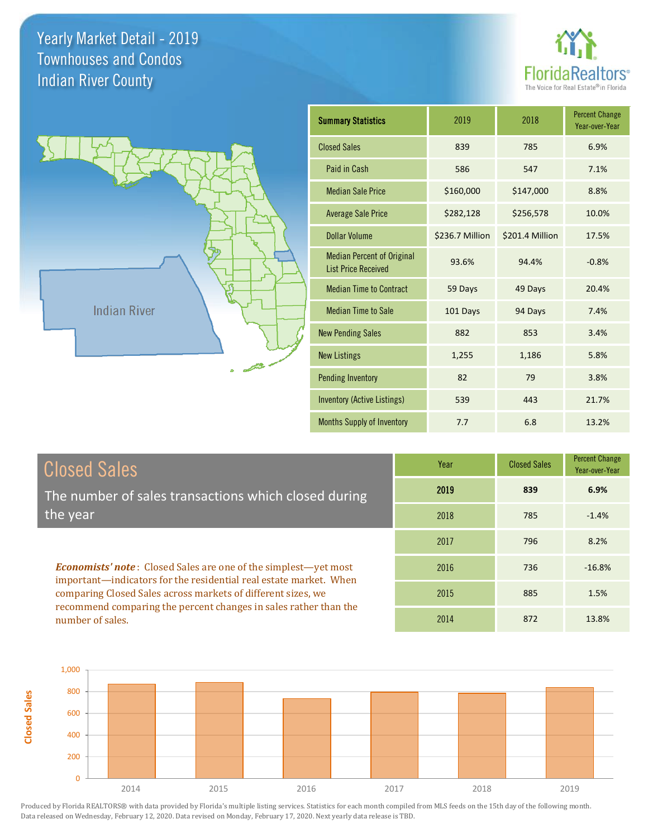**Closed Sales**





| <b>Summary Statistics</b>                                       | 2019            | 2018            | <b>Percent Change</b><br>Year-over-Year |
|-----------------------------------------------------------------|-----------------|-----------------|-----------------------------------------|
| <b>Closed Sales</b>                                             | 839             | 785             | 6.9%                                    |
| Paid in Cash                                                    | 586             | 547             | 7.1%                                    |
| <b>Median Sale Price</b>                                        | \$160,000       | \$147,000       | 8.8%                                    |
| <b>Average Sale Price</b>                                       | \$282,128       | \$256,578       | 10.0%                                   |
| <b>Dollar Volume</b>                                            | \$236.7 Million | \$201.4 Million | 17.5%                                   |
| <b>Median Percent of Original</b><br><b>List Price Received</b> | 93.6%           | 94.4%           | $-0.8%$                                 |
| <b>Median Time to Contract</b>                                  | 59 Days         | 49 Days         | 20.4%                                   |
| <b>Median Time to Sale</b>                                      | 101 Days        | 94 Days         | 7.4%                                    |
| <b>New Pending Sales</b>                                        | 882             | 853             | 3.4%                                    |
| <b>New Listings</b>                                             | 1,255           | 1,186           | 5.8%                                    |
| <b>Pending Inventory</b>                                        | 82              | 79              | 3.8%                                    |
| Inventory (Active Listings)                                     | 539             | 443             | 21.7%                                   |
| <b>Months Supply of Inventory</b>                               | 7.7             | 6.8             | 13.2%                                   |

| <b>Closed Sales</b>                                                                                                                                                                                         | Year | <b>Closed Sales</b> | <b>Percent Change</b><br>Year-over-Year |
|-------------------------------------------------------------------------------------------------------------------------------------------------------------------------------------------------------------|------|---------------------|-----------------------------------------|
| The number of sales transactions which closed during                                                                                                                                                        | 2019 | 839                 | 6.9%                                    |
| the year                                                                                                                                                                                                    | 2018 | 785                 | $-1.4%$                                 |
|                                                                                                                                                                                                             | 2017 | 796                 | 8.2%                                    |
| <b>Economists' note:</b> Closed Sales are one of the simplest—yet most<br>important—indicators for the residential real estate market. When<br>comparing Closed Sales across markets of different sizes, we | 2016 | 736                 | $-16.8%$                                |
|                                                                                                                                                                                                             | 2015 | 885                 | 1.5%                                    |
| recommend comparing the percent changes in sales rather than the<br>number of sales.                                                                                                                        | 2014 | 872                 | 13.8%                                   |

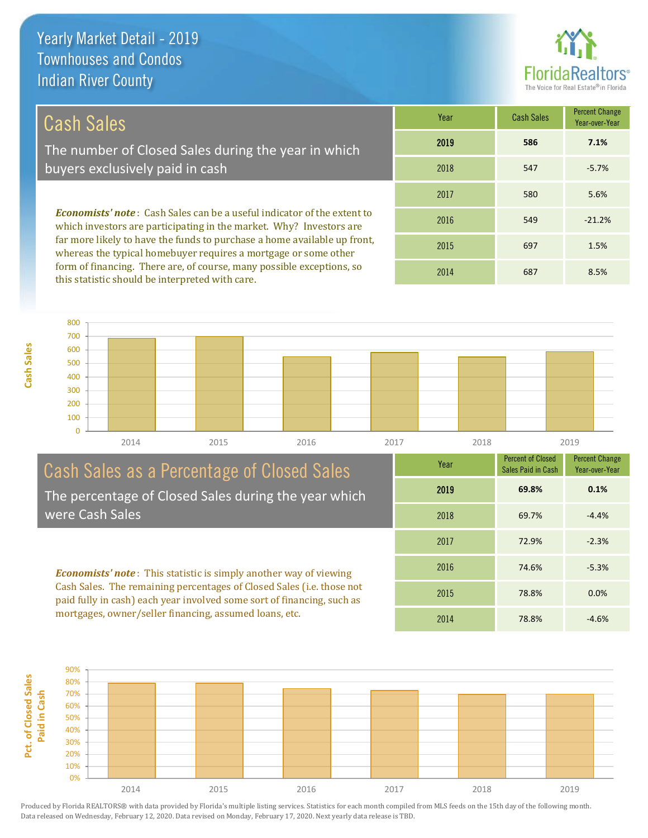

# Cash Sales

The number of Closed Sales during the year in which buyers exclusively paid in cash

*Economists' note* : Cash Sales can be a useful indicator of the extent to which investors are participating in the market. Why? Investors are far more likely to have the funds to purchase a home available up front, whereas the typical homebuyer requires a mortgage or some other form of financing. There are, of course, many possible exceptions, so this statistic should be interpreted with care.

| Year | <b>Cash Sales</b> | <b>Percent Change</b><br>Year-over-Year |
|------|-------------------|-----------------------------------------|
| 2019 | 586               | 7.1%                                    |
| 2018 | 547               | $-5.7%$                                 |
| 2017 | 580               | 5.6%                                    |
| 2016 | 549               | $-21.2%$                                |
| 2015 | 697               | 1.5%                                    |
| 2014 | 687               | 8.5%                                    |



### Cash Sales as a Percentage of Closed Sales The percentage of Closed Sales during the year which were Cash Sales

*Economists' note* : This statistic is simply another way of viewing Cash Sales. The remaining percentages of Closed Sales (i.e. those not paid fully in cash) each year involved some sort of financing, such as mortgages, owner/seller financing, assumed loans, etc.



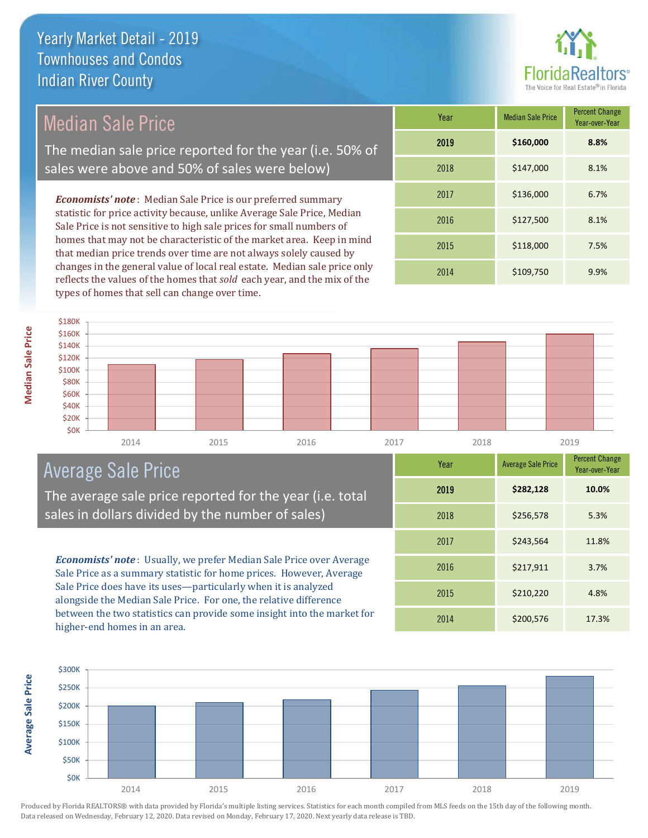

# Median Sale Price

The median sale price reported for the year (i.e. 50% of sales were above and 50% of sales were below)

*Economists' note* : Median Sale Price is our preferred summary statistic for price activity because, unlike Average Sale Price, Median Sale Price is not sensitive to high sale prices for small numbers of homes that may not be characteristic of the market area. Keep in mind that median price trends over time are not always solely caused by changes in the general value of local real estate. Median sale price only reflects the values of the homes that *sold* each year, and the mix of the types of homes that sell can change over time.

| Year | <b>Median Sale Price</b> | <b>Percent Change</b><br>Year-over-Year |
|------|--------------------------|-----------------------------------------|
| 2019 | \$160,000                | 8.8%                                    |
| 2018 | \$147,000                | 8.1%                                    |
| 2017 | \$136,000                | 6.7%                                    |
| 2016 | \$127,500                | 8.1%                                    |
| 2015 | \$118,000                | 7.5%                                    |
| 2014 | \$109,750                | 9.9%                                    |

#### 2014 2015 2016 2017 2018 2019 **\$0K** \$20K **\$40K** \$60K \$80K \$100K \$120K \$140K \$160K \$180K

# Average Sale Price

The average sale price reported for the year (i.e. total sales in dollars divided by the number of sales)

*Economists' note* : Usually, we prefer Median Sale Price over Average Sale Price as a summary statistic for home prices. However, Average Sale Price does have its uses—particularly when it is analyzed alongside the Median Sale Price. For one, the relative difference between the two statistics can provide some insight into the market for higher-end homes in an area.

| Year | <b>Average Sale Price</b> | <b>Percent Change</b><br>Year-over-Year |
|------|---------------------------|-----------------------------------------|
| 2019 | \$282,128                 | 10.0%                                   |
| 2018 | \$256,578                 | 5.3%                                    |
| 2017 | \$243,564                 | 11.8%                                   |
| 2016 | \$217,911                 | 3.7%                                    |
| 2015 | \$210,220                 | 4.8%                                    |
| 2014 | \$200,576                 | 17.3%                                   |



Produced by Florida REALTORS® with data provided by Florida's multiple listing services. Statistics for each month compiled from MLS feeds on the 15th day of the following month. Data released on Wednesday, February 12, 2020. Data revised on Monday, February 17, 2020. Next yearly data release is TBD.

**Average Sale Price**

**Average Sale Price**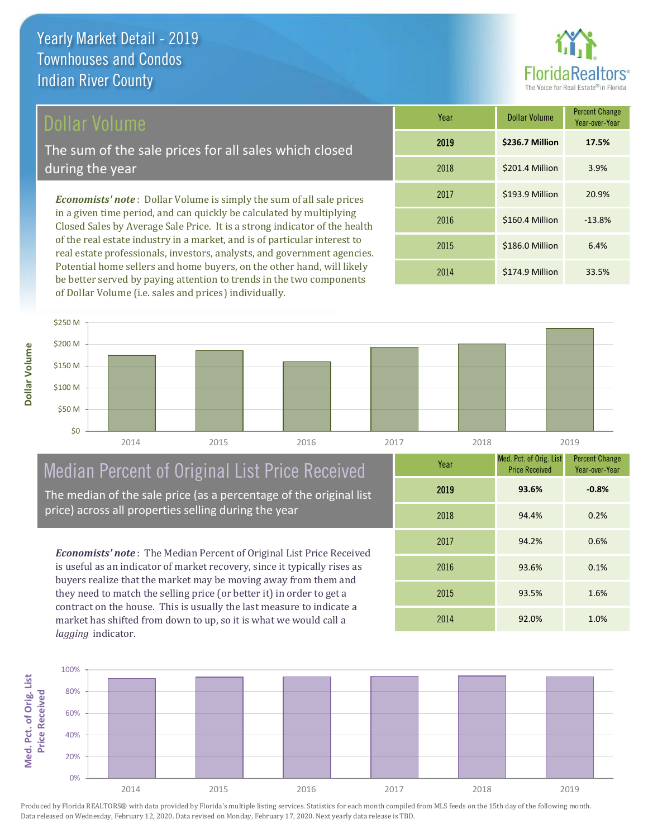# Dollar Volume

The sum of the sale prices for all sales which closed during the year

*Economists' note* : Dollar Volume is simply the sum of all sale prices in a given time period, and can quickly be calculated by multiplying Closed Sales by Average Sale Price. It is a strong indicator of the health of the real estate industry in a market, and is of particular interest to real estate professionals, investors, analysts, and government agencies. Potential home sellers and home buyers, on the other hand, will likely be better served by paying attention to trends in the two components of Dollar Volume (i.e. sales and prices) individually.

| Year | <b>Dollar Volume</b> | <b>Percent Change</b><br>Year-over-Year |
|------|----------------------|-----------------------------------------|
| 2019 | \$236.7 Million      | 17.5%                                   |
| 2018 | \$201.4 Million      | 3.9%                                    |
| 2017 | \$193.9 Million      | 20.9%                                   |
| 2016 | \$160.4 Million      | $-13.8%$                                |
| 2015 | \$186.0 Million      | 6.4%                                    |
| 2014 | \$174.9 Million      | 33.5%                                   |



# Median Percent of Original List Price Received

The median of the sale price (as a percentage of the original list price) across all properties selling during the year

*Economists' note* : The Median Percent of Original List Price Received is useful as an indicator of market recovery, since it typically rises as buyers realize that the market may be moving away from them and they need to match the selling price (or better it) in order to get a contract on the house. This is usually the last measure to indicate a market has shifted from down to up, so it is what we would call a *lagging* indicator.

| Year | Med. Pct. of Orig. List<br><b>Price Received</b> | <b>Percent Change</b><br>Year-over-Year |
|------|--------------------------------------------------|-----------------------------------------|
| 2019 | 93.6%                                            | $-0.8%$                                 |
| 2018 | 94.4%                                            | 0.2%                                    |
| 2017 | 94.2%                                            | 0.6%                                    |
| 2016 | 93.6%                                            | 0.1%                                    |
| 2015 | 93.5%                                            | 1.6%                                    |
| 2014 | 92.0%                                            | 1.0%                                    |

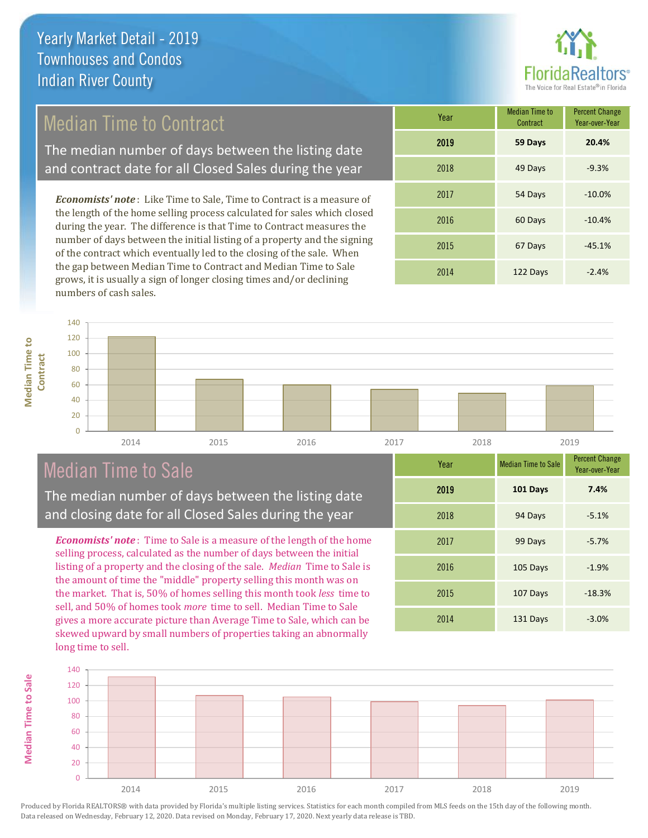# Median Time to Contract

The median number of days between the listing date and contract date for all Closed Sales during the year

*Economists' note* : Like Time to Sale, Time to Contract is a measure of the length of the home selling process calculated for sales which closed during the year. The difference is that Time to Contract measures the number of days between the initial listing of a property and the signing of the contract which eventually led to the closing of the sale. When the gap between Median Time to Contract and Median Time to Sale grows, it is usually a sign of longer closing times and/or declining numbers of cash sales.

| Year | Median Time to<br>Contract | <b>Percent Change</b><br>Year-over-Year |
|------|----------------------------|-----------------------------------------|
| 2019 | 59 Days                    | 20.4%                                   |
| 2018 | 49 Days                    | $-9.3%$                                 |
| 2017 | 54 Days                    | $-10.0%$                                |
| 2016 | 60 Days                    | $-10.4%$                                |
| 2015 | 67 Days                    | $-45.1%$                                |
| 2014 | 122 Days                   | $-2.4%$                                 |

 $\overline{0}$ 20 40 60 80 100 120 **Contract** 2014 2015 2016 2017 2018 2019

# Median Time to Sale

140

**Median Time to** 

**Median Time to** 

**Median Time to Sale**

**Median Time to Sale** 

The median number of days between the listing date and closing date for all Closed Sales during the year

*Economists' note* : Time to Sale is a measure of the length of the home selling process, calculated as the number of days between the initial listing of a property and the closing of the sale. *Median* Time to Sale is the amount of time the "middle" property selling this month was on the market. That is, 50% of homes selling this month took *less* time to sell, and 50% of homes took *more* time to sell. Median Time to Sale gives a more accurate picture than Average Time to Sale, which can be skewed upward by small numbers of properties taking an abnormally long time to sell.

| Year | <b>Median Time to Sale</b> | <b>Percent Change</b><br>Year-over-Year |
|------|----------------------------|-----------------------------------------|
| 2019 | 101 Days                   | 7.4%                                    |
| 2018 | 94 Days                    | $-5.1%$                                 |
| 2017 | 99 Days                    | $-5.7%$                                 |
| 2016 | 105 Days                   | $-1.9%$                                 |
| 2015 | 107 Days                   | $-18.3%$                                |
| 2014 | 131 Days                   | $-3.0%$                                 |

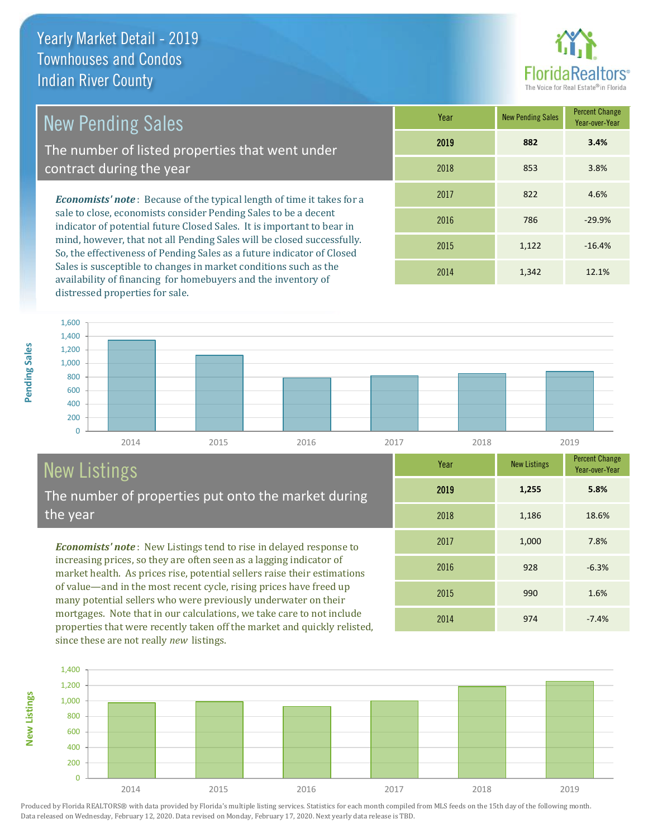

# New Pending Sales

The number of listed properties that went under contract during the year

*Economists' note* : Because of the typical length of time it takes for a sale to close, economists consider Pending Sales to be a decent indicator of potential future Closed Sales. It is important to bear in mind, however, that not all Pending Sales will be closed successfully. So, the effectiveness of Pending Sales as a future indicator of Closed Sales is susceptible to changes in market conditions such as the availability of financing for homebuyers and the inventory of distressed properties for sale.

| Year | <b>New Pending Sales</b> | <b>Percent Change</b><br>Year-over-Year |
|------|--------------------------|-----------------------------------------|
| 2019 | 882                      | 3.4%                                    |
| 2018 | 853                      | 3.8%                                    |
| 2017 | 822                      | 4.6%                                    |
| 2016 | 786                      | $-29.9%$                                |
| 2015 | 1,122                    | $-16.4%$                                |
| 2014 | 1,342                    | 12.1%                                   |



# New Listings

The number of properties put onto the market during the year

*Economists' note* : New Listings tend to rise in delayed response to increasing prices, so they are often seen as a lagging indicator of market health. As prices rise, potential sellers raise their estimations of value—and in the most recent cycle, rising prices have freed up many potential sellers who were previously underwater on their mortgages. Note that in our calculations, we take care to not include properties that were recently taken off the market and quickly relisted, since these are not really *new* listings.

| Year | <b>New Listings</b> | <b>Percent Change</b><br>Year-over-Year |
|------|---------------------|-----------------------------------------|
| 2019 | 1,255               | 5.8%                                    |
| 2018 | 1,186               | 18.6%                                   |
| 2017 | 1,000               | 7.8%                                    |
| 2016 | 928                 | $-6.3%$                                 |
| 2015 | 990                 | 1.6%                                    |
| 2014 | 974                 | $-7.4%$                                 |



Pending Sales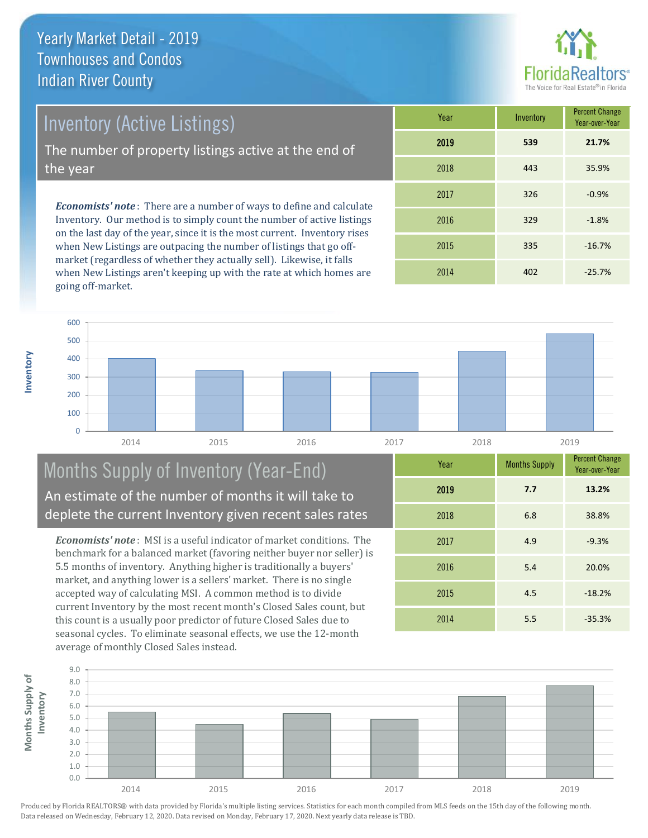Inventory (Active Listings)

The number of property listings active at the end of the year

*Economists' note* : There are a number of ways to define and calculate Inventory. Our method is to simply count the number of active listings on the last day of the year, since it is the most current. Inventory rises when New Listings are outpacing the number of listings that go offmarket (regardless of whether they actually sell). Likewise, it falls when New Listings aren't keeping up with the rate at which homes are going off-market.

| Year | Inventory | <b>Percent Change</b><br>Year-over-Year |
|------|-----------|-----------------------------------------|
| 2019 | 539       | 21.7%                                   |
| 2018 | 443       | 35.9%                                   |
| 2017 | 326       | $-0.9%$                                 |
| 2016 | 329       | $-1.8%$                                 |
| 2015 | 335       | $-16.7%$                                |
| 2014 | 402       | $-25.7%$                                |



## Months Supply of Inventory (Year-End) An estimate of the number of months it will take to deplete the current Inventory given recent sales rates

*Economists' note* : MSI is a useful indicator of market conditions. The benchmark for a balanced market (favoring neither buyer nor seller) is 5.5 months of inventory. Anything higher is traditionally a buyers' market, and anything lower is a sellers' market. There is no single accepted way of calculating MSI. A common method is to divide current Inventory by the most recent month's Closed Sales count, but this count is a usually poor predictor of future Closed Sales due to seasonal cycles. To eliminate seasonal effects, we use the 12-month average of monthly Closed Sales instead.

| Year | <b>Months Supply</b> | <b>Percent Change</b><br>Year-over-Year |
|------|----------------------|-----------------------------------------|
| 2019 | 7.7                  | 13.2%                                   |
| 2018 | 6.8                  | 38.8%                                   |
| 2017 | 4.9                  | $-9.3%$                                 |
| 2016 | 5.4                  | 20.0%                                   |
| 2015 | 4.5                  | $-18.2%$                                |
| 2014 | 5.5                  | $-35.3%$                                |

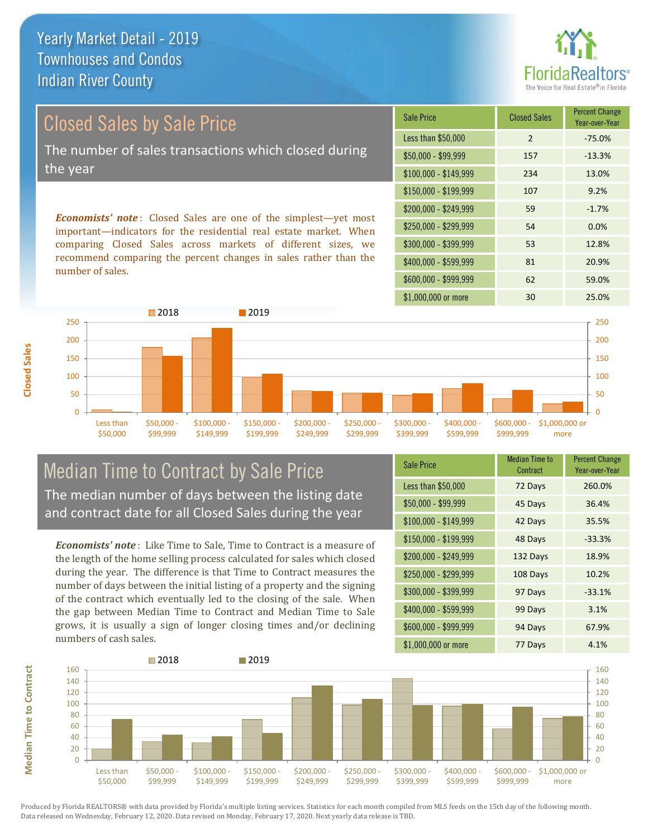

# Closed Sales by Sale Price The number of sales transactions which closed during the year

*Economists' note* : Closed Sales are one of the simplest—yet most important—indicators for the residential real estate market. When comparing Closed Sales across markets of different sizes, we recommend comparing the percent changes in sales rather than the number of sales.

| <b>Sale Price</b>     | <b>Closed Sales</b> | <b>Percent Change</b><br>Year-over-Year |
|-----------------------|---------------------|-----------------------------------------|
| Less than \$50,000    | $\mathcal{P}$       | $-75.0%$                                |
| $$50,000 - $99,999$   | 157                 | $-13.3%$                                |
| $$100,000 - $149,999$ | 234                 | 13.0%                                   |
| $$150,000 - $199,999$ | 107                 | 9.2%                                    |
| \$200,000 - \$249,999 | 59                  | $-1.7%$                                 |
| \$250,000 - \$299,999 | 54                  | 0.0%                                    |
| \$300,000 - \$399,999 | 53                  | 12.8%                                   |
| \$400,000 - \$599,999 | 81                  | 20.9%                                   |
| \$600,000 - \$999,999 | 62                  | 59.0%                                   |
| \$1,000,000 or more   | 30                  | 25.0%                                   |



#### Median Time to Contract by Sale Price The median number of days between the listing date and contract date for all Closed Sales during the year

*Economists' note* : Like Time to Sale, Time to Contract is a measure of the length of the home selling process calculated for sales which closed during the year. The difference is that Time to Contract measures the number of days between the initial listing of a property and the signing of the contract which eventually led to the closing of the sale. When the gap between Median Time to Contract and Median Time to Sale grows, it is usually a sign of longer closing times and/or declining numbers of cash sales.

| <b>Sale Price</b>     | <b>Median Time to</b><br>Contract | <b>Percent Change</b><br>Year-over-Year |
|-----------------------|-----------------------------------|-----------------------------------------|
| Less than \$50,000    | 72 Days                           | 260.0%                                  |
| \$50,000 - \$99,999   | 45 Days                           | 36.4%                                   |
| $$100,000 - $149,999$ | 42 Days                           | 35.5%                                   |
| $$150,000 - $199,999$ | 48 Days                           | $-33.3%$                                |
| \$200,000 - \$249,999 | 132 Days                          | 18.9%                                   |
| \$250,000 - \$299,999 | 108 Days                          | 10.2%                                   |
| \$300,000 - \$399,999 | 97 Days                           | $-33.1%$                                |
| \$400,000 - \$599,999 | 99 Days                           | 3.1%                                    |
| \$600,000 - \$999,999 | 94 Days                           | 67.9%                                   |
| \$1,000,000 or more   | 77 Days                           | 4.1%                                    |

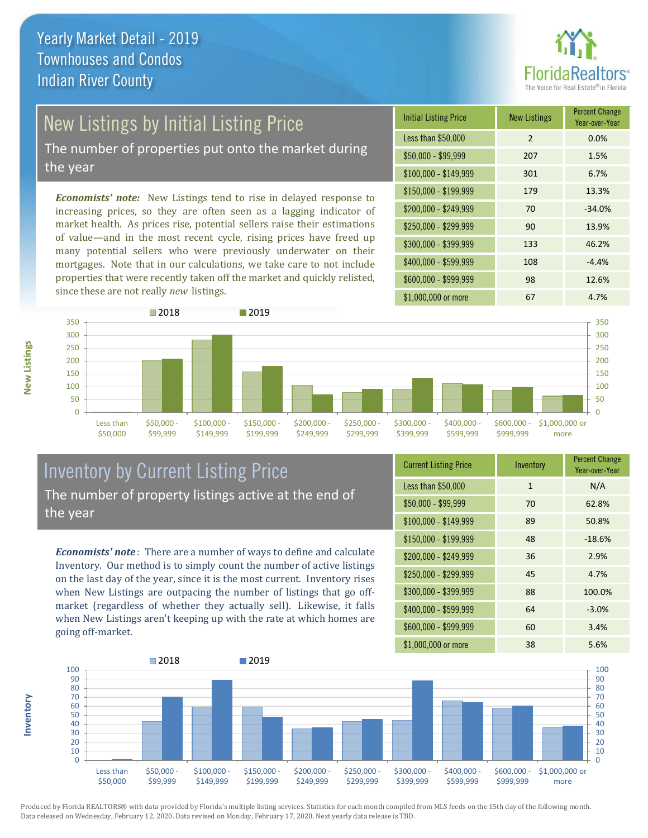

# New Listings by Initial Listing Price

The number of properties put onto the market during the year

*Economists' note:* New Listings tend to rise in delayed response to increasing prices, so they are often seen as a lagging indicator of market health. As prices rise, potential sellers raise their estimations of value—and in the most recent cycle, rising prices have freed up many potential sellers who were previously underwater on their mortgages. Note that in our calculations, we take care to not include properties that were recently taken off the market and quickly relisted, since these are not really *new* listings.

| <b>Initial Listing Price</b> | <b>New Listings</b> | <b>Percent Change</b><br>Year-over-Year |
|------------------------------|---------------------|-----------------------------------------|
| Less than \$50,000           | $\mathcal{P}$       | 0.0%                                    |
| \$50,000 - \$99,999          | 207                 | 1.5%                                    |
| $$100,000 - $149,999$        | 301                 | 6.7%                                    |
| $$150,000 - $199,999$        | 179                 | 13.3%                                   |
| \$200,000 - \$249,999        | 70                  | $-34.0%$                                |
| \$250,000 - \$299,999        | 90                  | 13.9%                                   |
| \$300,000 - \$399,999        | 133                 | 46.2%                                   |
| \$400,000 - \$599,999        | 108                 | $-4.4%$                                 |
| \$600,000 - \$999,999        | 98                  | 12.6%                                   |
| \$1,000,000 or more          | 67                  | 4.7%                                    |



# Inventory by Current Listing Price The number of property listings active at the end of the year

*Economists' note* : There are a number of ways to define and calculate Inventory. Our method is to simply count the number of active listings on the last day of the year, since it is the most current. Inventory rises when New Listings are outpacing the number of listings that go offmarket (regardless of whether they actually sell). Likewise, it falls when New Listings aren't keeping up with the rate at which homes are going off-market.

| <b>Current Listing Price</b> | Inventory    | <b>Percent Change</b><br>Year-over-Year |
|------------------------------|--------------|-----------------------------------------|
| Less than \$50,000           | $\mathbf{1}$ | N/A                                     |
| $$50,000 - $99,999$          | 70           | 62.8%                                   |
| $$100,000 - $149,999$        | 89           | 50.8%                                   |
| $$150,000 - $199,999$        | 48           | $-18.6%$                                |
| \$200,000 - \$249,999        | 36           | 2.9%                                    |
| \$250,000 - \$299,999        | 45           | 4.7%                                    |
| \$300,000 - \$399,999        | 88           | 100.0%                                  |
| \$400,000 - \$599,999        | 64           | $-3.0%$                                 |
| \$600,000 - \$999,999        | 60           | 3.4%                                    |
| \$1,000,000 or more          | 38           | 5.6%                                    |



Produced by Florida REALTORS® with data provided by Florida's multiple listing services. Statistics for each month compiled from MLS feeds on the 15th day of the following month. Data released on Wednesday, February 12, 2020. Data revised on Monday, February 17, 2020. Next yearly data release is TBD.

**Inventory**